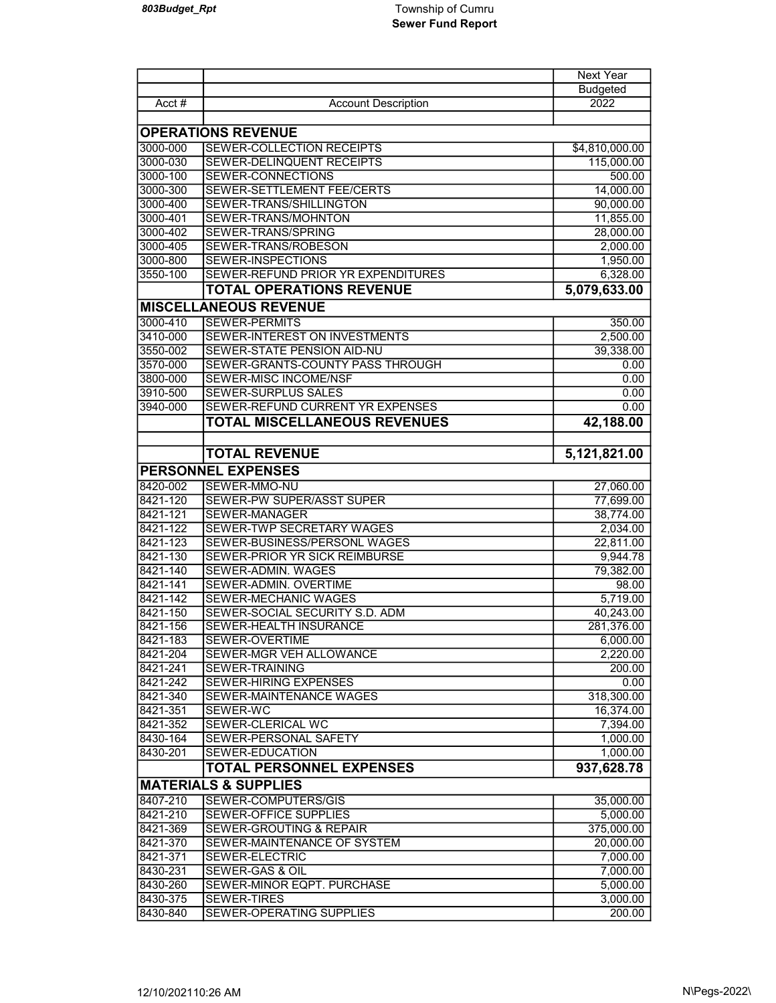|                           |                                                               | <b>Next Year</b>      |  |
|---------------------------|---------------------------------------------------------------|-----------------------|--|
|                           |                                                               | <b>Budgeted</b>       |  |
| Acct $#$                  | <b>Account Description</b>                                    | 2022                  |  |
|                           |                                                               |                       |  |
| <b>OPERATIONS REVENUE</b> |                                                               |                       |  |
| 3000-000                  | SEWER-COLLECTION RECEIPTS                                     | \$4,810,000.00        |  |
| 3000-030                  | SEWER-DELINQUENT RECEIPTS                                     | 115,000.00            |  |
| 3000-100                  | SEWER-CONNECTIONS                                             | 500.00                |  |
| 3000-300                  | SEWER-SETTLEMENT FEE/CERTS                                    | 14,000.00             |  |
| 3000-400                  | SEWER-TRANS/SHILLINGTON                                       | 90,000.00             |  |
| 3000-401                  | SEWER-TRANS/MOHNTON                                           | 11,855.00             |  |
| 3000-402                  | SEWER-TRANS/SPRING                                            | 28,000.00             |  |
| 3000-405                  | SEWER-TRANS/ROBESON                                           | 2,000.00              |  |
| 3000-800                  | SEWER-INSPECTIONS                                             | 1,950.00              |  |
| 3550-100                  | SEWER-REFUND PRIOR YR EXPENDITURES                            | 6,328.00              |  |
|                           | <b>TOTAL OPERATIONS REVENUE</b>                               | 5,079,633.00          |  |
|                           | <b>MISCELLANEOUS REVENUE</b>                                  |                       |  |
| 3000-410                  | <b>SEWER-PERMITS</b>                                          | 350.00                |  |
| 3410-000                  | SEWER-INTEREST ON INVESTMENTS                                 | 2,500.00              |  |
| 3550-002                  | SEWER-STATE PENSION AID-NU                                    | 39,338.00             |  |
| 3570-000                  | SEWER-GRANTS-COUNTY PASS THROUGH                              | 0.00                  |  |
| 3800-000                  | <b>SEWER-MISC INCOME/NSF</b>                                  | 0.00                  |  |
| 3910-500                  | <b>SEWER-SURPLUS SALES</b>                                    | 0.00                  |  |
| 3940-000                  | SEWER-REFUND CURRENT YR EXPENSES                              | 0.00                  |  |
|                           | <b>TOTAL MISCELLANEOUS REVENUES</b>                           | 42,188.00             |  |
|                           |                                                               |                       |  |
|                           | <b>TOTAL REVENUE</b>                                          | 5,121,821.00          |  |
|                           |                                                               |                       |  |
|                           | <b>PERSONNEL EXPENSES</b>                                     |                       |  |
| 8420-002                  | SEWER-MMO-NU                                                  | 27,060.00             |  |
| 8421-120                  | SEWER-PW SUPER/ASST SUPER                                     | 77,699.00             |  |
| 8421-121                  | <b>SEWER-MANAGER</b>                                          | 38,774.00             |  |
| 8421-122                  | SEWER-TWP SECRETARY WAGES                                     | 2,034.00              |  |
| 8421-123<br>8421-130      | SEWER-BUSINESS/PERSONL WAGES<br>SEWER-PRIOR YR SICK REIMBURSE | 22,811.00<br>9,944.78 |  |
| 8421-140                  | SEWER-ADMIN. WAGES                                            |                       |  |
| 8421-141                  | SEWER-ADMIN. OVERTIME                                         | 79,382.00<br>98.00    |  |
| 8421-142                  | <b>SEWER-MECHANIC WAGES</b>                                   | 5,719.00              |  |
| 8421-150                  | SEWER-SOCIAL SECURITY S.D. ADM                                | 40,243.00             |  |
| 8421-156                  | SEWER-HEALTH INSURANCE                                        | 281,376.00            |  |
| 8421-183                  | <b>SEWER-OVERTIME</b>                                         | 6,000.00              |  |
| 8421-204                  | SEWER-MGR VEH ALLOWANCE                                       | 2,220.00              |  |
| 8421-241                  | SEWER-TRAINING                                                | 200.00                |  |
| 8421-242                  | <b>SEWER-HIRING EXPENSES</b>                                  | 0.00                  |  |
| 8421-340                  | SEWER-MAINTENANCE WAGES                                       | 318,300.00            |  |
| 8421-351                  | SEWER-WC                                                      | 16,374.00             |  |
| 8421-352                  | SEWER-CLERICAL WC                                             | 7,394.00              |  |
| 8430-164                  | SEWER-PERSONAL SAFETY                                         | 1,000.00              |  |
| 8430-201                  | SEWER-EDUCATION                                               | 1,000.00              |  |
|                           | <b>TOTAL PERSONNEL EXPENSES</b>                               | 937,628.78            |  |
|                           | <b>MATERIALS &amp; SUPPLIES</b>                               |                       |  |
|                           | <b>SEWER-COMPUTERS/GIS</b>                                    |                       |  |
| 8407-210<br>8421-210      | <b>SEWER-OFFICE SUPPLIES</b>                                  | 35,000.00             |  |
| 8421-369                  | SEWER-GROUTING & REPAIR                                       | 5,000.00              |  |
| 8421-370                  | SEWER-MAINTENANCE OF SYSTEM                                   | 375,000.00            |  |
| 8421-371                  | <b>SEWER-ELECTRIC</b>                                         | 20,000.00             |  |
| 8430-231                  | SEWER-GAS & OIL                                               | 7,000.00<br>7,000.00  |  |
| 8430-260                  | SEWER-MINOR EQPT. PURCHASE                                    | 5,000.00              |  |
| 8430-375                  | <b>SEWER-TIRES</b>                                            | 3,000.00              |  |
| 8430-840                  | SEWER-OPERATING SUPPLIES                                      | 200.00                |  |
|                           |                                                               |                       |  |